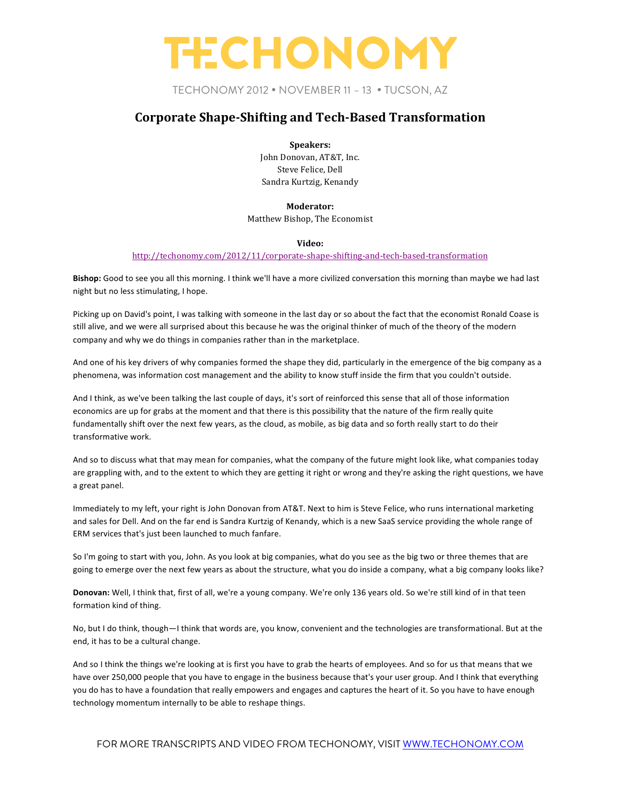TECHONOMY 2012 • NOVEMBER 11 – 13 • TUCSON, AZ

### **Corporate Shape-Shifting and Tech-Based Transformation**

**Speakers:** John Donovan, AT&T, Inc. Steve Felice, Dell

Sandra Kurtzig, Kenandy

#### **Moderator:**

Matthew Bishop, The Economist

#### **Video:**

#### http://techonomy.com/2012/11/corporate-shape-shifting-and-tech-based-transformation

Bishop: Good to see you all this morning. I think we'll have a more civilized conversation this morning than maybe we had last night but no less stimulating, I hope.

Picking up on David's point, I was talking with someone in the last day or so about the fact that the economist Ronald Coase is still alive, and we were all surprised about this because he was the original thinker of much of the theory of the modern company and why we do things in companies rather than in the marketplace.

And one of his key drivers of why companies formed the shape they did, particularly in the emergence of the big company as a phenomena, was information cost management and the ability to know stuff inside the firm that you couldn't outside.

And I think, as we've been talking the last couple of days, it's sort of reinforced this sense that all of those information economics are up for grabs at the moment and that there is this possibility that the nature of the firm really quite fundamentally shift over the next few years, as the cloud, as mobile, as big data and so forth really start to do their transformative work.

And so to discuss what that may mean for companies, what the company of the future might look like, what companies today are grappling with, and to the extent to which they are getting it right or wrong and they're asking the right questions, we have a great panel.

Immediately to my left, your right is John Donovan from AT&T. Next to him is Steve Felice, who runs international marketing and sales for Dell. And on the far end is Sandra Kurtzig of Kenandy, which is a new SaaS service providing the whole range of ERM services that's just been launched to much fanfare.

So I'm going to start with you, John. As you look at big companies, what do you see as the big two or three themes that are going to emerge over the next few years as about the structure, what you do inside a company, what a big company looks like?

Donovan: Well, I think that, first of all, we're a young company. We're only 136 years old. So we're still kind of in that teen formation kind of thing.

No, but I do think, though—I think that words are, you know, convenient and the technologies are transformational. But at the end, it has to be a cultural change.

And so I think the things we're looking at is first you have to grab the hearts of employees. And so for us that means that we have over 250,000 people that you have to engage in the business because that's your user group. And I think that everything you do has to have a foundation that really empowers and engages and captures the heart of it. So you have to have enough technology momentum internally to be able to reshape things.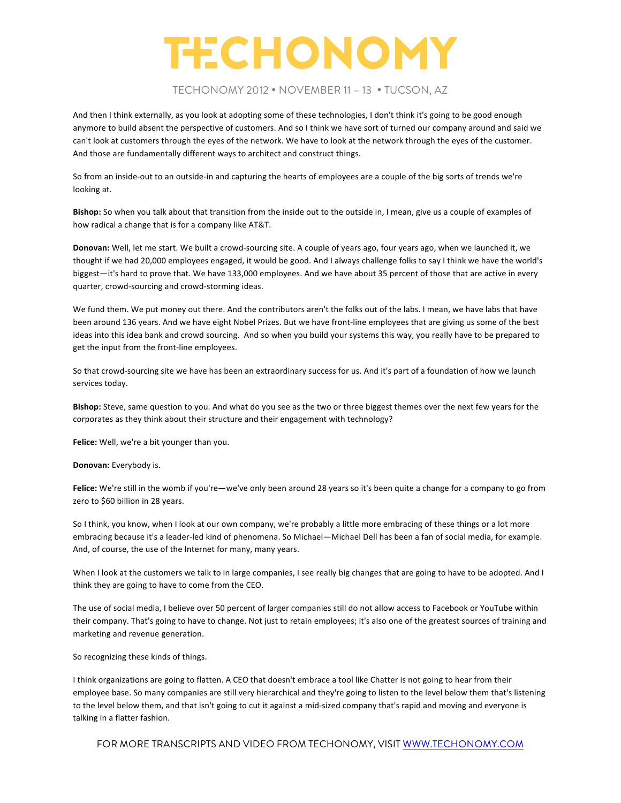### TECHONOMY 2012 • NOVEMBER 11 – 13 • TUCSON, AZ

And then I think externally, as you look at adopting some of these technologies, I don't think it's going to be good enough anymore to build absent the perspective of customers. And so I think we have sort of turned our company around and said we can't look at customers through the eyes of the network. We have to look at the network through the eyes of the customer. And those are fundamentally different ways to architect and construct things.

So from an inside-out to an outside-in and capturing the hearts of employees are a couple of the big sorts of trends we're looking at.

Bishop: So when you talk about that transition from the inside out to the outside in, I mean, give us a couple of examples of how radical a change that is for a company like AT&T.

**Donovan:** Well, let me start. We built a crowd-sourcing site. A couple of years ago, four years ago, when we launched it, we thought if we had 20,000 employees engaged, it would be good. And I always challenge folks to say I think we have the world's biggest-it's hard to prove that. We have 133,000 employees. And we have about 35 percent of those that are active in every quarter, crowd-sourcing and crowd-storming ideas.

We fund them. We put money out there. And the contributors aren't the folks out of the labs. I mean, we have labs that have been around 136 years. And we have eight Nobel Prizes. But we have front-line employees that are giving us some of the best ideas into this idea bank and crowd sourcing. And so when you build your systems this way, you really have to be prepared to get the input from the front-line employees.

So that crowd-sourcing site we have has been an extraordinary success for us. And it's part of a foundation of how we launch services today.

Bishop: Steve, same question to you. And what do you see as the two or three biggest themes over the next few years for the corporates as they think about their structure and their engagement with technology?

Felice: Well, we're a bit younger than you.

**Donovan:** Everybody is.

Felice: We're still in the womb if you're—we've only been around 28 years so it's been quite a change for a company to go from zero to \$60 billion in 28 years.

So I think, you know, when I look at our own company, we're probably a little more embracing of these things or a lot more embracing because it's a leader-led kind of phenomena. So Michael—Michael Dell has been a fan of social media, for example. And, of course, the use of the Internet for many, many years.

When I look at the customers we talk to in large companies, I see really big changes that are going to have to be adopted. And I think they are going to have to come from the CEO.

The use of social media, I believe over 50 percent of larger companies still do not allow access to Facebook or YouTube within their company. That's going to have to change. Not just to retain employees; it's also one of the greatest sources of training and marketing and revenue generation.

So recognizing these kinds of things.

I think organizations are going to flatten. A CEO that doesn't embrace a tool like Chatter is not going to hear from their employee base. So many companies are still very hierarchical and they're going to listen to the level below them that's listening to the level below them, and that isn't going to cut it against a mid-sized company that's rapid and moving and everyone is talking in a flatter fashion.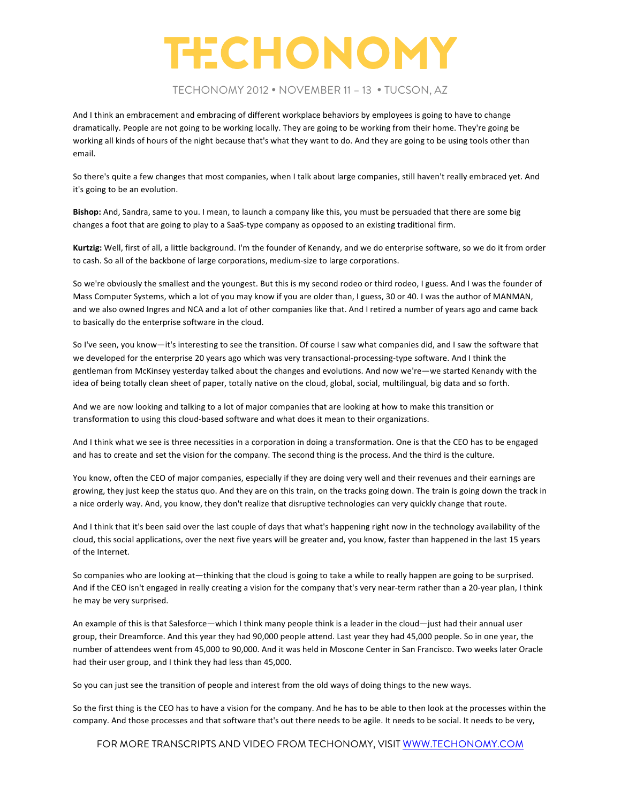### TECHONOMY 2012 • NOVEMBER 11 – 13 • TUCSON, AZ

And I think an embracement and embracing of different workplace behaviors by employees is going to have to change dramatically. People are not going to be working locally. They are going to be working from their home. They're going be working all kinds of hours of the night because that's what they want to do. And they are going to be using tools other than email.

So there's quite a few changes that most companies, when I talk about large companies, still haven't really embraced yet. And it's going to be an evolution.

Bishop: And, Sandra, same to you. I mean, to launch a company like this, you must be persuaded that there are some big changes a foot that are going to play to a SaaS-type company as opposed to an existing traditional firm.

Kurtzig: Well, first of all, a little background. I'm the founder of Kenandy, and we do enterprise software, so we do it from order to cash. So all of the backbone of large corporations, medium-size to large corporations.

So we're obviously the smallest and the youngest. But this is my second rodeo or third rodeo, I guess. And I was the founder of Mass Computer Systems, which a lot of you may know if you are older than, I guess, 30 or 40. I was the author of MANMAN, and we also owned Ingres and NCA and a lot of other companies like that. And I retired a number of years ago and came back to basically do the enterprise software in the cloud.

So I've seen, you know—it's interesting to see the transition. Of course I saw what companies did, and I saw the software that we developed for the enterprise 20 years ago which was very transactional-processing-type software. And I think the gentleman from McKinsey yesterday talked about the changes and evolutions. And now we're—we started Kenandy with the idea of being totally clean sheet of paper, totally native on the cloud, global, social, multilingual, big data and so forth.

And we are now looking and talking to a lot of major companies that are looking at how to make this transition or transformation to using this cloud-based software and what does it mean to their organizations.

And I think what we see is three necessities in a corporation in doing a transformation. One is that the CEO has to be engaged and has to create and set the vision for the company. The second thing is the process. And the third is the culture.

You know, often the CEO of major companies, especially if they are doing very well and their revenues and their earnings are growing, they just keep the status quo. And they are on this train, on the tracks going down. The train is going down the track in a nice orderly way. And, you know, they don't realize that disruptive technologies can very quickly change that route.

And I think that it's been said over the last couple of days that what's happening right now in the technology availability of the cloud, this social applications, over the next five years will be greater and, you know, faster than happened in the last 15 years of the Internet.

So companies who are looking at—thinking that the cloud is going to take a while to really happen are going to be surprised. And if the CEO isn't engaged in really creating a vision for the company that's very near-term rather than a 20-year plan, I think he may be very surprised.

An example of this is that Salesforce—which I think many people think is a leader in the cloud—just had their annual user group, their Dreamforce. And this year they had 90,000 people attend. Last year they had 45,000 people. So in one year, the number of attendees went from 45,000 to 90,000. And it was held in Moscone Center in San Francisco. Two weeks later Oracle had their user group, and I think they had less than 45,000.

So you can just see the transition of people and interest from the old ways of doing things to the new ways.

So the first thing is the CEO has to have a vision for the company. And he has to be able to then look at the processes within the company. And those processes and that software that's out there needs to be agile. It needs to be social. It needs to be very,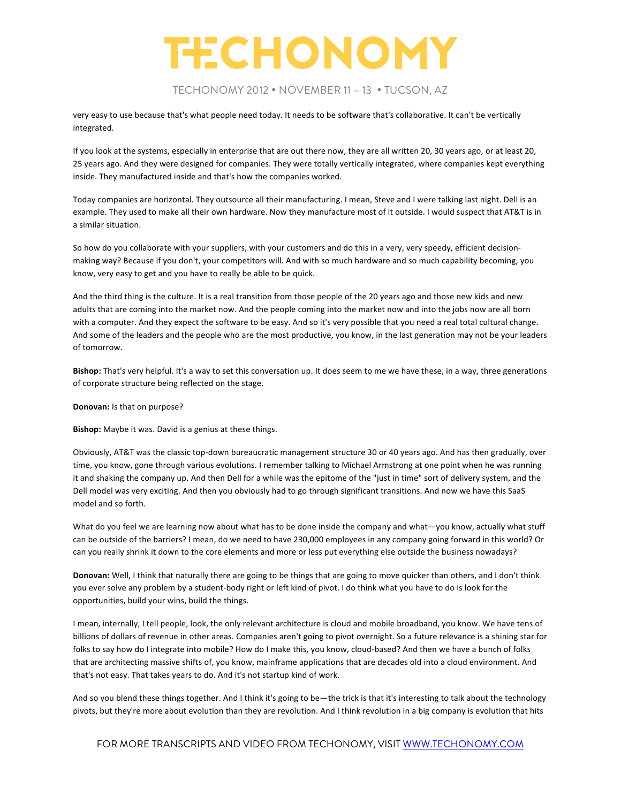### TECHONOMY 2012 • NOVEMBER 11 – 13 • TUCSON, AZ

very easy to use because that's what people need today. It needs to be software that's collaborative. It can't be vertically integrated. 

If you look at the systems, especially in enterprise that are out there now, they are all written 20, 30 years ago, or at least 20, 25 years ago. And they were designed for companies. They were totally vertically integrated, where companies kept everything inside. They manufactured inside and that's how the companies worked.

Today companies are horizontal. They outsource all their manufacturing. I mean, Steve and I were talking last night. Dell is an example. They used to make all their own hardware. Now they manufacture most of it outside. I would suspect that AT&T is in a similar situation.

So how do you collaborate with your suppliers, with your customers and do this in a very, very speedy, efficient decisionmaking way? Because if you don't, your competitors will. And with so much hardware and so much capability becoming, you know, very easy to get and you have to really be able to be quick.

And the third thing is the culture. It is a real transition from those people of the 20 years ago and those new kids and new adults that are coming into the market now. And the people coming into the market now and into the jobs now are all born with a computer. And they expect the software to be easy. And so it's very possible that you need a real total cultural change. And some of the leaders and the people who are the most productive, you know, in the last generation may not be your leaders of tomorrow.

**Bishop:** That's very helpful. It's a way to set this conversation up. It does seem to me we have these, in a way, three generations of corporate structure being reflected on the stage.

#### **Donovan:** Is that on purpose?

**Bishop:** Maybe it was. David is a genius at these things.

Obviously, AT&T was the classic top-down bureaucratic management structure 30 or 40 years ago. And has then gradually, over time, you know, gone through various evolutions. I remember talking to Michael Armstrong at one point when he was running it and shaking the company up. And then Dell for a while was the epitome of the "just in time" sort of delivery system, and the Dell model was very exciting. And then you obviously had to go through significant transitions. And now we have this SaaS model and so forth.

What do you feel we are learning now about what has to be done inside the company and what—you know, actually what stuff can be outside of the barriers? I mean, do we need to have 230,000 employees in any company going forward in this world? Or can you really shrink it down to the core elements and more or less put everything else outside the business nowadays?

**Donovan:** Well, I think that naturally there are going to be things that are going to move quicker than others, and I don't think you ever solve any problem by a student-body right or left kind of pivot. I do think what you have to do is look for the opportunities, build your wins, build the things.

I mean, internally, I tell people, look, the only relevant architecture is cloud and mobile broadband, you know. We have tens of billions of dollars of revenue in other areas. Companies aren't going to pivot overnight. So a future relevance is a shining star for folks to say how do I integrate into mobile? How do I make this, you know, cloud-based? And then we have a bunch of folks that are architecting massive shifts of, you know, mainframe applications that are decades old into a cloud environment. And that's not easy. That takes years to do. And it's not startup kind of work.

And so you blend these things together. And I think it's going to be—the trick is that it's interesting to talk about the technology pivots, but they're more about evolution than they are revolution. And I think revolution in a big company is evolution that hits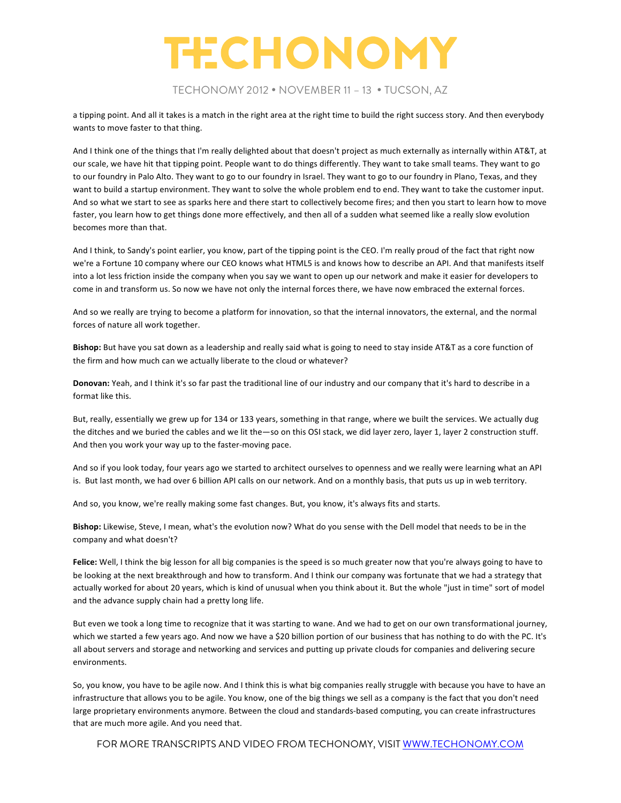### TECHONOMY 2012 • NOVEMBER 11 – 13 • TUCSON, AZ

a tipping point. And all it takes is a match in the right area at the right time to build the right success story. And then everybody wants to move faster to that thing.

And I think one of the things that I'm really delighted about that doesn't project as much externally as internally within AT&T, at our scale, we have hit that tipping point. People want to do things differently. They want to take small teams. They want to go to our foundry in Palo Alto. They want to go to our foundry in Israel. They want to go to our foundry in Plano, Texas, and they want to build a startup environment. They want to solve the whole problem end to end. They want to take the customer input. And so what we start to see as sparks here and there start to collectively become fires; and then you start to learn how to move faster, you learn how to get things done more effectively, and then all of a sudden what seemed like a really slow evolution becomes more than that.

And I think, to Sandy's point earlier, you know, part of the tipping point is the CEO. I'm really proud of the fact that right now we're a Fortune 10 company where our CEO knows what HTML5 is and knows how to describe an API. And that manifests itself into a lot less friction inside the company when you say we want to open up our network and make it easier for developers to come in and transform us. So now we have not only the internal forces there, we have now embraced the external forces.

And so we really are trying to become a platform for innovation, so that the internal innovators, the external, and the normal forces of nature all work together.

**Bishop:** But have you sat down as a leadership and really said what is going to need to stay inside AT&T as a core function of the firm and how much can we actually liberate to the cloud or whatever?

Donovan: Yeah, and I think it's so far past the traditional line of our industry and our company that it's hard to describe in a format like this.

But, really, essentially we grew up for 134 or 133 years, something in that range, where we built the services. We actually dug the ditches and we buried the cables and we lit the—so on this OSI stack, we did layer zero, layer 1, layer 2 construction stuff. And then you work your way up to the faster-moving pace.

And so if you look today, four years ago we started to architect ourselves to openness and we really were learning what an API is. But last month, we had over 6 billion API calls on our network. And on a monthly basis, that puts us up in web territory.

And so, you know, we're really making some fast changes. But, you know, it's always fits and starts.

**Bishop:** Likewise, Steve, I mean, what's the evolution now? What do you sense with the Dell model that needs to be in the company and what doesn't?

**Felice:** Well, I think the big lesson for all big companies is the speed is so much greater now that you're always going to have to be looking at the next breakthrough and how to transform. And I think our company was fortunate that we had a strategy that actually worked for about 20 years, which is kind of unusual when you think about it. But the whole "just in time" sort of model and the advance supply chain had a pretty long life.

But even we took a long time to recognize that it was starting to wane. And we had to get on our own transformational journey, which we started a few years ago. And now we have a \$20 billion portion of our business that has nothing to do with the PC. It's all about servers and storage and networking and services and putting up private clouds for companies and delivering secure environments.

So, you know, you have to be agile now. And I think this is what big companies really struggle with because you have to have an infrastructure that allows you to be agile. You know, one of the big things we sell as a company is the fact that you don't need large proprietary environments anymore. Between the cloud and standards-based computing, you can create infrastructures that are much more agile. And you need that.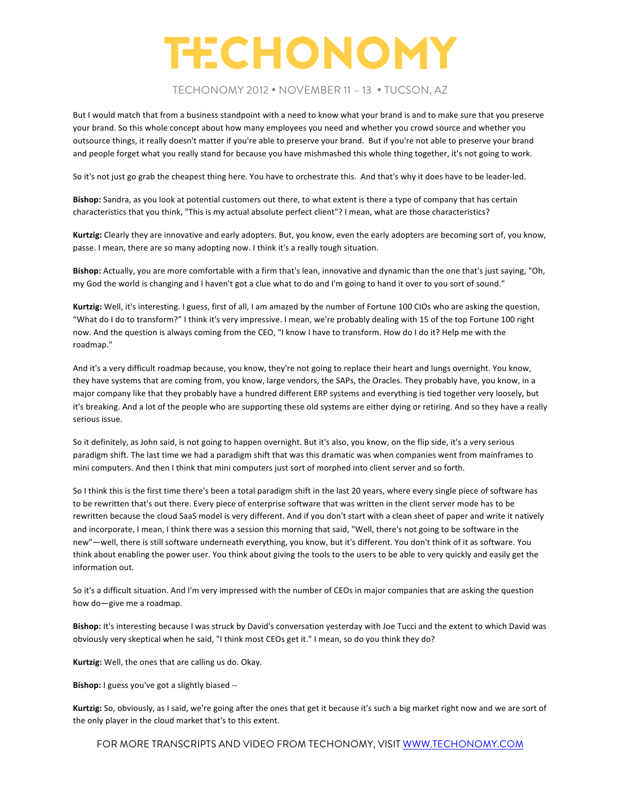#### TECHONOMY 2012 • NOVEMBER 11 – 13 • TUCSON, AZ

But I would match that from a business standpoint with a need to know what your brand is and to make sure that you preserve your brand. So this whole concept about how many employees you need and whether you crowd source and whether you outsource things, it really doesn't matter if you're able to preserve your brand. But if you're not able to preserve your brand and people forget what you really stand for because you have mishmashed this whole thing together, it's not going to work.

So it's not just go grab the cheapest thing here. You have to orchestrate this. And that's why it does have to be leader-led.

Bishop: Sandra, as you look at potential customers out there, to what extent is there a type of company that has certain characteristics that you think, "This is my actual absolute perfect client"? I mean, what are those characteristics?

Kurtzig: Clearly they are innovative and early adopters. But, you know, even the early adopters are becoming sort of, you know, passe. I mean, there are so many adopting now. I think it's a really tough situation.

**Bishop:** Actually, you are more comfortable with a firm that's lean, innovative and dynamic than the one that's just saying, "Oh, my God the world is changing and I haven't got a clue what to do and I'm going to hand it over to you sort of sound."

Kurtzig: Well, it's interesting. I guess, first of all, I am amazed by the number of Fortune 100 CIOs who are asking the question, "What do I do to transform?" I think it's very impressive. I mean, we're probably dealing with 15 of the top Fortune 100 right now. And the question is always coming from the CEO, "I know I have to transform. How do I do it? Help me with the roadmap."

And it's a very difficult roadmap because, you know, they're not going to replace their heart and lungs overnight. You know, they have systems that are coming from, you know, large vendors, the SAPs, the Oracles. They probably have, you know, in a major company like that they probably have a hundred different ERP systems and everything is tied together very loosely, but it's breaking. And a lot of the people who are supporting these old systems are either dying or retiring. And so they have a really serious issue.

So it definitely, as John said, is not going to happen overnight. But it's also, you know, on the flip side, it's a very serious paradigm shift. The last time we had a paradigm shift that was this dramatic was when companies went from mainframes to mini computers. And then I think that mini computers just sort of morphed into client server and so forth.

So I think this is the first time there's been a total paradigm shift in the last 20 years, where every single piece of software has to be rewritten that's out there. Every piece of enterprise software that was written in the client server mode has to be rewritten because the cloud SaaS model is very different. And if you don't start with a clean sheet of paper and write it natively and incorporate, I mean, I think there was a session this morning that said, "Well, there's not going to be software in the new"—well, there is still software underneath everything, you know, but it's different. You don't think of it as software. You think about enabling the power user. You think about giving the tools to the users to be able to very quickly and easily get the information out.

So it's a difficult situation. And I'm very impressed with the number of CEOs in major companies that are asking the question how do-give me a roadmap.

Bishop: It's interesting because I was struck by David's conversation yesterday with Joe Tucci and the extent to which David was obviously very skeptical when he said, "I think most CEOs get it." I mean, so do you think they do?

Kurtzig: Well, the ones that are calling us do. Okay.

**Bishop:** I guess you've got a slightly biased --

Kurtzig: So, obviously, as I said, we're going after the ones that get it because it's such a big market right now and we are sort of the only player in the cloud market that's to this extent.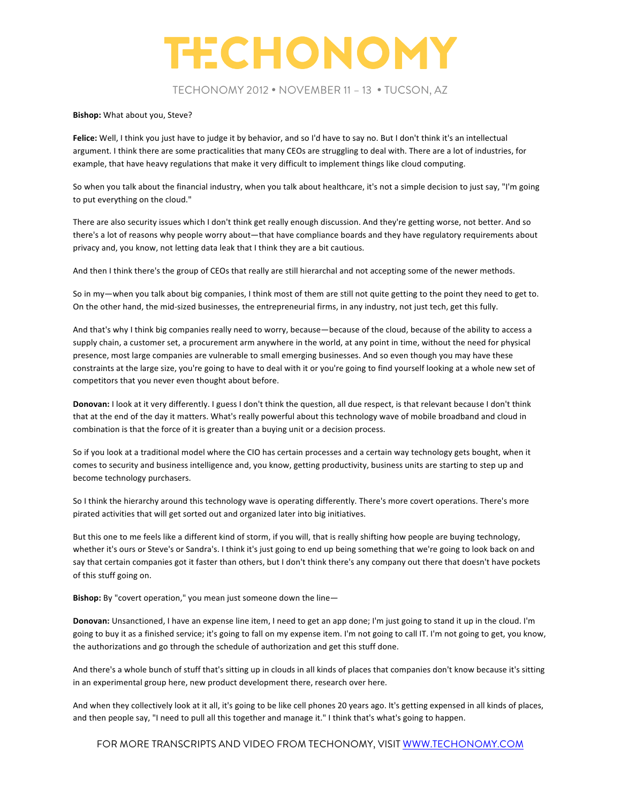TECHONOMY 2012 • NOVEMBER 11 – 13 • TUCSON, AZ

#### **Bishop:** What about you, Steve?

Felice: Well, I think you just have to judge it by behavior, and so I'd have to say no. But I don't think it's an intellectual argument. I think there are some practicalities that many CEOs are struggling to deal with. There are a lot of industries, for example, that have heavy regulations that make it very difficult to implement things like cloud computing.

So when you talk about the financial industry, when you talk about healthcare, it's not a simple decision to just say, "I'm going to put everything on the cloud."

There are also security issues which I don't think get really enough discussion. And they're getting worse, not better. And so there's a lot of reasons why people worry about—that have compliance boards and they have regulatory requirements about privacy and, you know, not letting data leak that I think they are a bit cautious.

And then I think there's the group of CEOs that really are still hierarchal and not accepting some of the newer methods.

So in my—when you talk about big companies, I think most of them are still not quite getting to the point they need to get to. On the other hand, the mid-sized businesses, the entrepreneurial firms, in any industry, not just tech, get this fully.

And that's why I think big companies really need to worry, because—because of the cloud, because of the ability to access a supply chain, a customer set, a procurement arm anywhere in the world, at any point in time, without the need for physical presence, most large companies are vulnerable to small emerging businesses. And so even though you may have these constraints at the large size, you're going to have to deal with it or you're going to find yourself looking at a whole new set of competitors that you never even thought about before.

**Donovan:** I look at it very differently. I guess I don't think the question, all due respect, is that relevant because I don't think that at the end of the day it matters. What's really powerful about this technology wave of mobile broadband and cloud in combination is that the force of it is greater than a buying unit or a decision process.

So if you look at a traditional model where the CIO has certain processes and a certain way technology gets bought, when it comes to security and business intelligence and, you know, getting productivity, business units are starting to step up and become technology purchasers.

So I think the hierarchy around this technology wave is operating differently. There's more covert operations. There's more pirated activities that will get sorted out and organized later into big initiatives.

But this one to me feels like a different kind of storm, if you will, that is really shifting how people are buying technology, whether it's ours or Steve's or Sandra's. I think it's just going to end up being something that we're going to look back on and say that certain companies got it faster than others, but I don't think there's any company out there that doesn't have pockets of this stuff going on.

**Bishop:** By "covert operation," you mean just someone down the line-

**Donovan:** Unsanctioned, I have an expense line item, I need to get an app done; I'm just going to stand it up in the cloud. I'm going to buy it as a finished service; it's going to fall on my expense item. I'm not going to call IT. I'm not going to get, you know, the authorizations and go through the schedule of authorization and get this stuff done.

And there's a whole bunch of stuff that's sitting up in clouds in all kinds of places that companies don't know because it's sitting in an experimental group here, new product development there, research over here.

And when they collectively look at it all, it's going to be like cell phones 20 years ago. It's getting expensed in all kinds of places, and then people say, "I need to pull all this together and manage it." I think that's what's going to happen.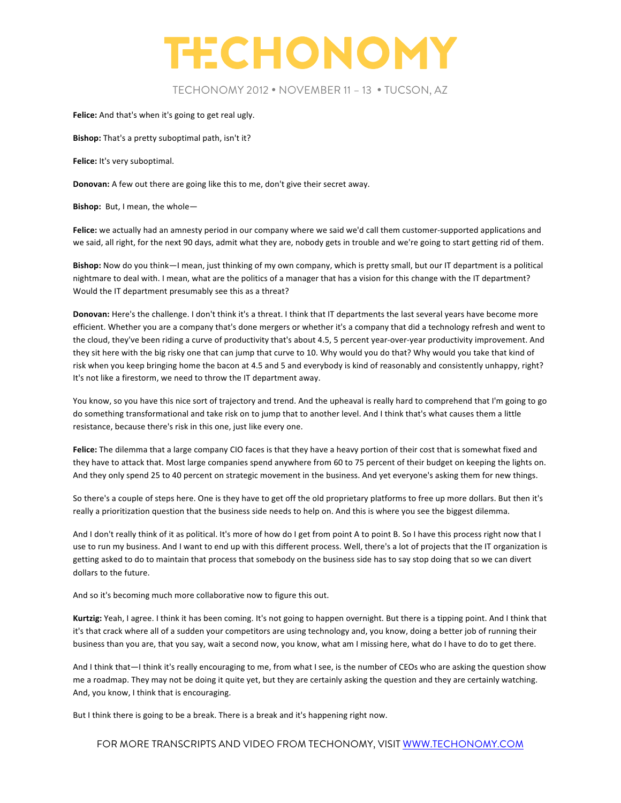

### TECHONOMY 2012 • NOVEMBER 11 – 13 • TUCSON, AZ

Felice: And that's when it's going to get real ugly.

**Bishop:** That's a pretty suboptimal path, isn't it?

Felice: It's very suboptimal.

**Donovan:** A few out there are going like this to me, don't give their secret away.

**Bishop:** But, I mean, the whole-

Felice: we actually had an amnesty period in our company where we said we'd call them customer-supported applications and we said, all right, for the next 90 days, admit what they are, nobody gets in trouble and we're going to start getting rid of them.

Bishop: Now do you think—I mean, just thinking of my own company, which is pretty small, but our IT department is a political nightmare to deal with. I mean, what are the politics of a manager that has a vision for this change with the IT department? Would the IT department presumably see this as a threat?

Donovan: Here's the challenge. I don't think it's a threat. I think that IT departments the last several years have become more efficient. Whether you are a company that's done mergers or whether it's a company that did a technology refresh and went to the cloud, they've been riding a curve of productivity that's about 4.5, 5 percent year-over-year productivity improvement. And they sit here with the big risky one that can jump that curve to 10. Why would you do that? Why would you take that kind of risk when you keep bringing home the bacon at 4.5 and 5 and everybody is kind of reasonably and consistently unhappy, right? It's not like a firestorm, we need to throw the IT department away.

You know, so you have this nice sort of trajectory and trend. And the upheaval is really hard to comprehend that I'm going to go do something transformational and take risk on to jump that to another level. And I think that's what causes them a little resistance, because there's risk in this one, just like every one.

Felice: The dilemma that a large company CIO faces is that they have a heavy portion of their cost that is somewhat fixed and they have to attack that. Most large companies spend anywhere from 60 to 75 percent of their budget on keeping the lights on. And they only spend 25 to 40 percent on strategic movement in the business. And yet everyone's asking them for new things.

So there's a couple of steps here. One is they have to get off the old proprietary platforms to free up more dollars. But then it's really a prioritization question that the business side needs to help on. And this is where you see the biggest dilemma.

And I don't really think of it as political. It's more of how do I get from point A to point B. So I have this process right now that I use to run my business. And I want to end up with this different process. Well, there's a lot of projects that the IT organization is getting asked to do to maintain that process that somebody on the business side has to say stop doing that so we can divert dollars to the future.

And so it's becoming much more collaborative now to figure this out.

Kurtzig: Yeah, I agree. I think it has been coming. It's not going to happen overnight. But there is a tipping point. And I think that it's that crack where all of a sudden your competitors are using technology and, you know, doing a better job of running their business than you are, that you say, wait a second now, you know, what am I missing here, what do I have to do to get there.

And I think that—I think it's really encouraging to me, from what I see, is the number of CEOs who are asking the question show me a roadmap. They may not be doing it quite yet, but they are certainly asking the question and they are certainly watching. And, you know, I think that is encouraging.

But I think there is going to be a break. There is a break and it's happening right now.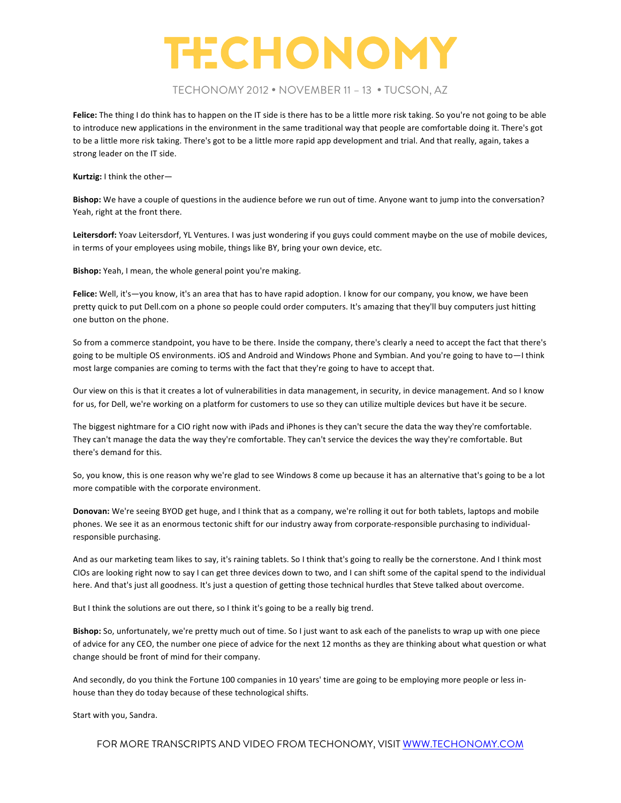### TECHONOMY 2012 • NOVEMBER 11 – 13 • TUCSON, AZ

**Felice:** The thing I do think has to happen on the IT side is there has to be a little more risk taking. So you're not going to be able to introduce new applications in the environment in the same traditional way that people are comfortable doing it. There's got to be a little more risk taking. There's got to be a little more rapid app development and trial. And that really, again, takes a strong leader on the IT side.

**Kurtzig:** I think the other-

Bishop: We have a couple of questions in the audience before we run out of time. Anyone want to jump into the conversation? Yeah, right at the front there.

Leitersdorf: Yoav Leitersdorf, YL Ventures. I was just wondering if you guys could comment maybe on the use of mobile devices, in terms of your employees using mobile, things like BY, bring your own device, etc.

**Bishop:** Yeah, I mean, the whole general point you're making.

Felice: Well, it's-you know, it's an area that has to have rapid adoption. I know for our company, you know, we have been pretty quick to put Dell.com on a phone so people could order computers. It's amazing that they'll buy computers just hitting one button on the phone.

So from a commerce standpoint, you have to be there. Inside the company, there's clearly a need to accept the fact that there's going to be multiple OS environments. iOS and Android and Windows Phone and Symbian. And you're going to have to-I think most large companies are coming to terms with the fact that they're going to have to accept that.

Our view on this is that it creates a lot of vulnerabilities in data management, in security, in device management. And so I know for us, for Dell, we're working on a platform for customers to use so they can utilize multiple devices but have it be secure.

The biggest nightmare for a CIO right now with iPads and iPhones is they can't secure the data the way they're comfortable. They can't manage the data the way they're comfortable. They can't service the devices the way they're comfortable. But there's demand for this.

So, you know, this is one reason why we're glad to see Windows 8 come up because it has an alternative that's going to be a lot more compatible with the corporate environment.

**Donovan:** We're seeing BYOD get huge, and I think that as a company, we're rolling it out for both tablets, laptops and mobile phones. We see it as an enormous tectonic shift for our industry away from corporate-responsible purchasing to individualresponsible purchasing.

And as our marketing team likes to say, it's raining tablets. So I think that's going to really be the cornerstone. And I think most CIOs are looking right now to say I can get three devices down to two, and I can shift some of the capital spend to the individual here. And that's just all goodness. It's just a question of getting those technical hurdles that Steve talked about overcome.

But I think the solutions are out there, so I think it's going to be a really big trend.

Bishop: So, unfortunately, we're pretty much out of time. So I just want to ask each of the panelists to wrap up with one piece of advice for any CEO, the number one piece of advice for the next 12 months as they are thinking about what question or what change should be front of mind for their company.

And secondly, do you think the Fortune 100 companies in 10 years' time are going to be employing more people or less inhouse than they do today because of these technological shifts.

Start with you, Sandra.